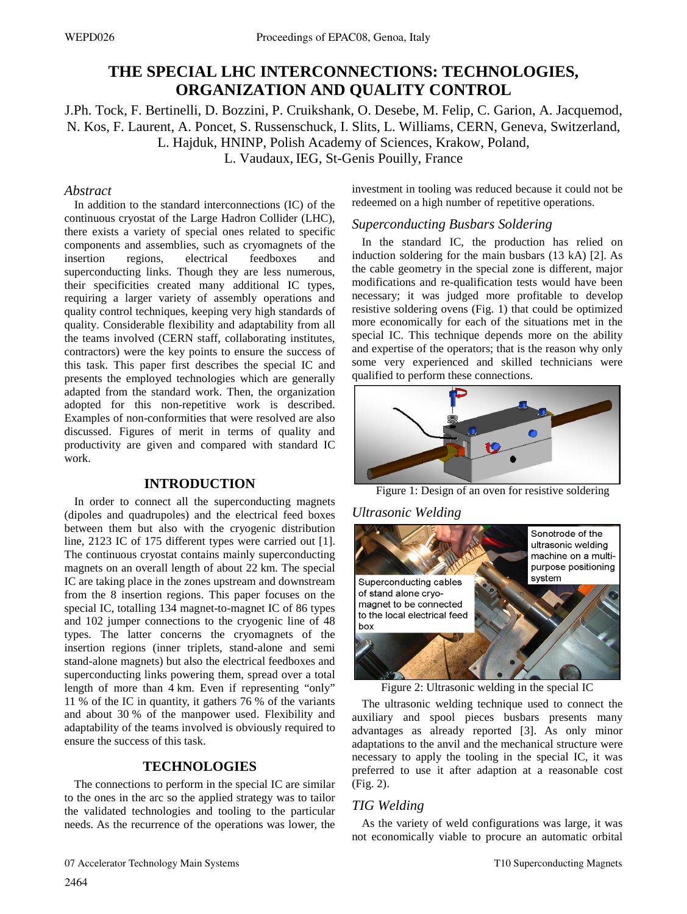# **THE SPECIAL LHC INTERCONNECTIONS: TECHNOLOGIES, ORGANIZATION AND QUALITY CONTROL**

J.Ph. Tock, F. Bertinelli, D. Bozzini, P. Cruikshank, O. Desebe, M. Felip, C. Garion, A. Jacquemod, N. Kos, F. Laurent, A. Poncet, S. Russenschuck, I. Slits, L. Williams, CERN, Geneva, Switzerland, L. Hajduk, HNINP, Polish Academy of Sciences, Krakow, Poland,

L. Vaudaux, IEG, St-Genis Pouilly, France

## *Abstract*

In addition to the standard interconnections (IC) of the continuous cryostat of the Large Hadron Collider (LHC), there exists a variety of special ones related to specific components and assemblies, such as cryomagnets of the insertion regions, electrical feedboxes and superconducting links. Though they are less numerous, their specificities created many additional IC types, requiring a larger variety of assembly operations and quality control techniques, keeping very high standards of quality. Considerable flexibility and adaptability from all the teams involved (CERN staff, collaborating institutes, contractors) were the key points to ensure the success of this task. This paper first describes the special IC and presents the employed technologies which are generally adapted from the standard work. Then, the organization adopted for this non-repetitive work is described. Examples of non-conformities that were resolved are also discussed. Figures of merit in terms of quality and productivity are given and compared with standard IC work.

## **INTRODUCTION**

In order to connect all the superconducting magnets (dipoles and quadrupoles) and the electrical feed boxes between them but also with the cryogenic distribution line, 2123 IC of 175 different types were carried out [1]. The continuous cryostat contains mainly superconducting magnets on an overall length of about 22 km. The special IC are taking place in the zones upstream and downstream from the 8 insertion regions. This paper focuses on the special IC, totalling 134 magnet-to-magnet IC of 86 types and 102 jumper connections to the cryogenic line of 48 types. The latter concerns the cryomagnets of the insertion regions (inner triplets, stand-alone and semi stand-alone magnets) but also the electrical feedboxes and superconducting links powering them, spread over a total length of more than 4 km. Even if representing "only" 11 % of the IC in quantity, it gathers 76 % of the variants and about 30 % of the manpower used. Flexibility and adaptability of the teams involved is obviously required to ensure the success of this task.

## **TECHNOLOGIES**

The connections to perform in the special IC are similar to the ones in the arc so the applied strategy was to tailor the validated technologies and tooling to the particular needs. As the recurrence of the operations was lower, the investment in tooling was reduced because it could not be redeemed on a high number of repetitive operations.

## *Superconducting Busbars Soldering*

In the standard IC, the production has relied on induction soldering for the main busbars (13 kA) [2]. As the cable geometry in the special zone is different, major modifications and re-qualification tests would have been necessary; it was judged more profitable to develop resistive soldering ovens (Fig. 1) that could be optimized more economically for each of the situations met in the special IC. This technique depends more on the ability and expertise of the operators; that is the reason why only some very experienced and skilled technicians were qualified to perform these connections.



Figure 1: Design of an oven for resistive soldering

### *Ultrasonic Welding*



Figure 2: Ultrasonic welding in the special IC

The ultrasonic welding technique used to connect the auxiliary and spool pieces busbars presents many advantages as already reported [3]. As only minor adaptations to the anvil and the mechanical structure were necessary to apply the tooling in the special IC, it was preferred to use it after adaption at a reasonable cost (Fig. 2).

## *TIG Welding*

As the variety of weld configurations was large, it was not economically viable to procure an automatic orbital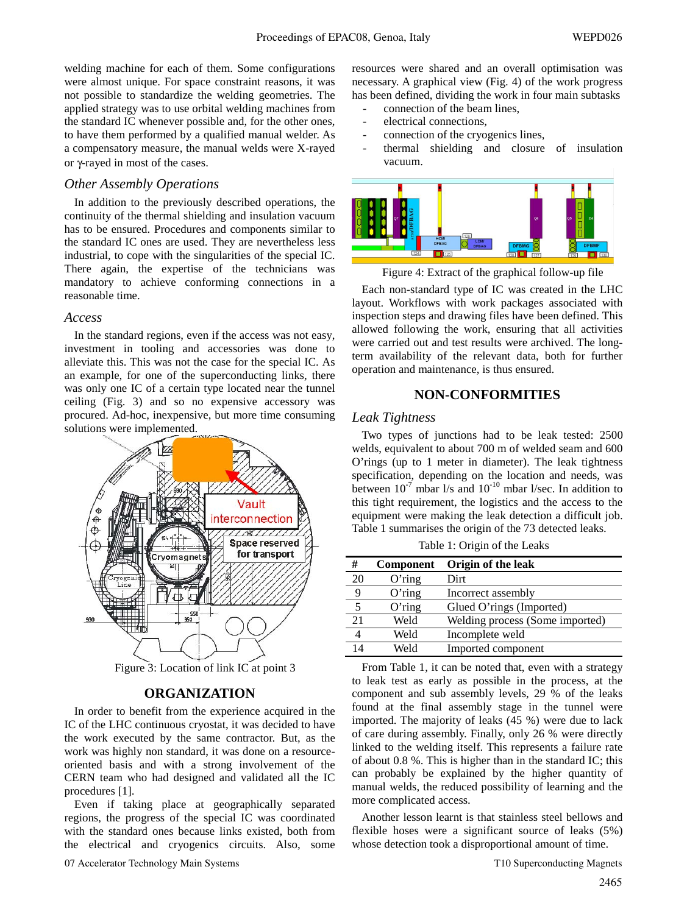welding machine for each of them. Some configurations were almost unique. For space constraint reasons, it was not possible to standardize the welding geometries. The applied strategy was to use orbital welding machines from the standard IC whenever possible and, for the other ones, to have them performed by a qualified manual welder. As a compensatory measure, the manual welds were X-rayed or γ-rayed in most of the cases.

#### *Other Assembly Operations*

In addition to the previously described operations, the continuity of the thermal shielding and insulation vacuum has to be ensured. Procedures and components similar to the standard IC ones are used. They are nevertheless less industrial, to cope with the singularities of the special IC. There again, the expertise of the technicians was mandatory to achieve conforming connections in a reasonable time.

#### *Access*

In the standard regions, even if the access was not easy, investment in tooling and accessories was done to alleviate this. This was not the case for the special IC. As an example, for one of the superconducting links, there was only one IC of a certain type located near the tunnel ceiling (Fig. 3) and so no expensive accessory was procured. Ad-hoc, inexpensive, but more time consuming solutions were implemented.



Figure 3: Location of link IC at point 3

## **ORGANIZATION**

In order to benefit from the experience acquired in the IC of the LHC continuous cryostat, it was decided to have the work executed by the same contractor. But, as the work was highly non standard, it was done on a resourceoriented basis and with a strong involvement of the CERN team who had designed and validated all the IC procedures [1].

Even if taking place at geographically separated regions, the progress of the special IC was coordinated with the standard ones because links existed, both from the electrical and cryogenics circuits. Also, some resources were shared and an overall optimisation was necessary. A graphical view (Fig. 4) of the work progress has been defined, dividing the work in four main subtasks

- connection of the beam lines.
- electrical connections.
- connection of the cryogenics lines,
- thermal shielding and closure of insulation vacuum.



Figure 4: Extract of the graphical follow-up file

Each non-standard type of IC was created in the LHC layout. Workflows with work packages associated with inspection steps and drawing files have been defined. This allowed following the work, ensuring that all activities were carried out and test results were archived. The longterm availability of the relevant data, both for further operation and maintenance, is thus ensured.

### **NON-CONFORMITIES**

#### *Leak Tightness*

Two types of junctions had to be leak tested: 2500 welds, equivalent to about 700 m of welded seam and 600 O'rings (up to 1 meter in diameter). The leak tightness specification, depending on the location and needs, was between  $10^{-7}$  mbar l/s and  $10^{-10}$  mbar l/sec. In addition to this tight requirement, the logistics and the access to the equipment were making the leak detection a difficult job. Table 1 summarises the origin of the 73 detected leaks.

Table 1: Origin of the Leaks

| #  | <b>Component</b> | Origin of the leak              |
|----|------------------|---------------------------------|
| 20 | $O'$ ring        | Dirt                            |
| 9  | $O'$ ring        | Incorrect assembly              |
| 5  | $O'$ ring        | Glued O'rings (Imported)        |
| 21 | Weld             | Welding process (Some imported) |
| 4  | Weld             | Incomplete weld                 |
| 14 | Weld             | Imported component              |

From Table 1, it can be noted that, even with a strategy to leak test as early as possible in the process, at the component and sub assembly levels, 29 % of the leaks found at the final assembly stage in the tunnel were imported. The majority of leaks (45 %) were due to lack of care during assembly. Finally, only 26 % were directly linked to the welding itself. This represents a failure rate of about 0.8 %. This is higher than in the standard IC; this can probably be explained by the higher quantity of manual welds, the reduced possibility of learning and the more complicated access.

Another lesson learnt is that stainless steel bellows and flexible hoses were a significant source of leaks (5%) whose detection took a disproportional amount of time.

07 Accelerator Technology Main Systems T10 Superconducting Magnets